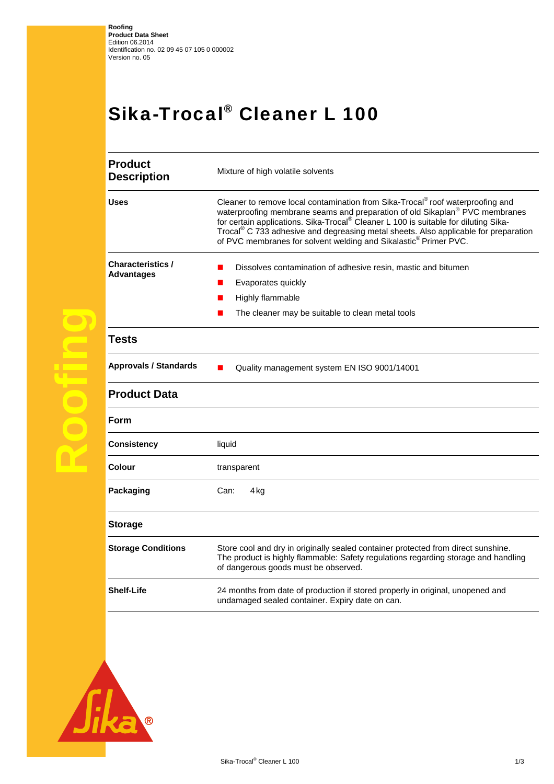## Sika-Trocal® Cleaner L 100

| <b>Product</b><br><b>Description</b>          | Mixture of high volatile solvents                                                                                                                                                                                                                                                                                                                                                                                                                               |
|-----------------------------------------------|-----------------------------------------------------------------------------------------------------------------------------------------------------------------------------------------------------------------------------------------------------------------------------------------------------------------------------------------------------------------------------------------------------------------------------------------------------------------|
| <b>Uses</b>                                   | Cleaner to remove local contamination from Sika-Trocal <sup>®</sup> roof waterproofing and<br>waterproofing membrane seams and preparation of old Sikaplan® PVC membranes<br>for certain applications. Sika-Trocal <sup>®</sup> Cleaner L 100 is suitable for diluting Sika-<br>Trocal <sup>®</sup> C 733 adhesive and degreasing metal sheets. Also applicable for preparation<br>of PVC membranes for solvent welding and Sikalastic <sup>®</sup> Primer PVC. |
| <b>Characteristics /</b><br><b>Advantages</b> | Dissolves contamination of adhesive resin, mastic and bitumen<br>$\blacksquare$<br>Evaporates quickly<br>Highly flammable                                                                                                                                                                                                                                                                                                                                       |
|                                               | The cleaner may be suitable to clean metal tools                                                                                                                                                                                                                                                                                                                                                                                                                |
| <b>Tests</b>                                  |                                                                                                                                                                                                                                                                                                                                                                                                                                                                 |
| <b>Approvals / Standards</b>                  | Quality management system EN ISO 9001/14001                                                                                                                                                                                                                                                                                                                                                                                                                     |
| <b>Product Data</b>                           |                                                                                                                                                                                                                                                                                                                                                                                                                                                                 |
| Form                                          |                                                                                                                                                                                                                                                                                                                                                                                                                                                                 |
| Consistency                                   | liquid                                                                                                                                                                                                                                                                                                                                                                                                                                                          |
| Colour                                        | transparent                                                                                                                                                                                                                                                                                                                                                                                                                                                     |
| Packaging                                     | 4 kg<br>Can:                                                                                                                                                                                                                                                                                                                                                                                                                                                    |
| <b>Storage</b>                                |                                                                                                                                                                                                                                                                                                                                                                                                                                                                 |
| <b>Storage Conditions</b>                     | Store cool and dry in originally sealed container protected from direct sunshine.<br>The product is highly flammable: Safety regulations regarding storage and handling<br>of dangerous goods must be observed.                                                                                                                                                                                                                                                 |
| <b>Shelf-Life</b>                             | 24 months from date of production if stored properly in original, unopened and<br>undamaged sealed container. Expiry date on can.                                                                                                                                                                                                                                                                                                                               |
|                                               |                                                                                                                                                                                                                                                                                                                                                                                                                                                                 |



**Roofing**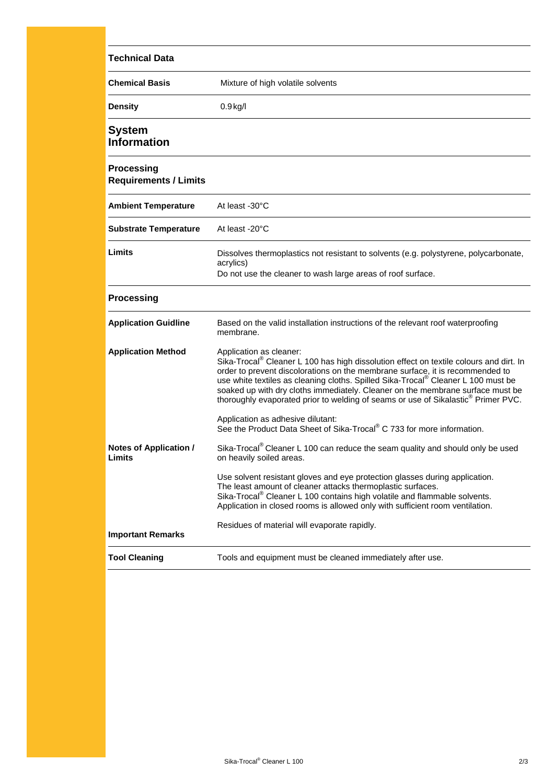| <b>Technical Data</b>                             |                                                                                                                                                                                                                                                                                                                                                                                                                                                                                        |
|---------------------------------------------------|----------------------------------------------------------------------------------------------------------------------------------------------------------------------------------------------------------------------------------------------------------------------------------------------------------------------------------------------------------------------------------------------------------------------------------------------------------------------------------------|
| <b>Chemical Basis</b>                             | Mixture of high volatile solvents                                                                                                                                                                                                                                                                                                                                                                                                                                                      |
| <b>Density</b>                                    | $0.9$ kg/l                                                                                                                                                                                                                                                                                                                                                                                                                                                                             |
| System<br><b>Information</b>                      |                                                                                                                                                                                                                                                                                                                                                                                                                                                                                        |
| <b>Processing</b><br><b>Requirements / Limits</b> |                                                                                                                                                                                                                                                                                                                                                                                                                                                                                        |
| <b>Ambient Temperature</b>                        | At least -30°C                                                                                                                                                                                                                                                                                                                                                                                                                                                                         |
| <b>Substrate Temperature</b>                      | At least -20°C                                                                                                                                                                                                                                                                                                                                                                                                                                                                         |
| Limits                                            | Dissolves thermoplastics not resistant to solvents (e.g. polystyrene, polycarbonate,<br>acrylics)<br>Do not use the cleaner to wash large areas of roof surface.                                                                                                                                                                                                                                                                                                                       |
| <b>Processing</b>                                 |                                                                                                                                                                                                                                                                                                                                                                                                                                                                                        |
| <b>Application Guidline</b>                       | Based on the valid installation instructions of the relevant roof waterproofing<br>membrane.                                                                                                                                                                                                                                                                                                                                                                                           |
| <b>Application Method</b>                         | Application as cleaner:<br>Sika-Trocal <sup>®</sup> Cleaner L 100 has high dissolution effect on textile colours and dirt. In<br>order to prevent discolorations on the membrane surface, it is recommended to<br>use white textiles as cleaning cloths. Spilled Sika-Trocal® Cleaner L 100 must be<br>soaked up with dry cloths immediately. Cleaner on the membrane surface must be<br>thoroughly evaporated prior to welding of seams or use of Sikalastic <sup>®</sup> Primer PVC. |
|                                                   | Application as adhesive dilutant:<br>See the Product Data Sheet of Sika-Trocal <sup>®</sup> C 733 for more information.                                                                                                                                                                                                                                                                                                                                                                |
| <b>Notes of Application /</b><br>Limits           | Sika-Trocal <sup>®</sup> Cleaner L 100 can reduce the seam quality and should only be used<br>on heavily soiled areas                                                                                                                                                                                                                                                                                                                                                                  |
|                                                   | Use solvent resistant gloves and eye protection glasses during application.<br>The least amount of cleaner attacks thermoplastic surfaces.<br>Sika-Trocal <sup>®</sup> Cleaner L 100 contains high volatile and flammable solvents.<br>Application in closed rooms is allowed only with sufficient room ventilation.                                                                                                                                                                   |
| <b>Important Remarks</b>                          | Residues of material will evaporate rapidly.                                                                                                                                                                                                                                                                                                                                                                                                                                           |
| <b>Tool Cleaning</b>                              | Tools and equipment must be cleaned immediately after use.                                                                                                                                                                                                                                                                                                                                                                                                                             |